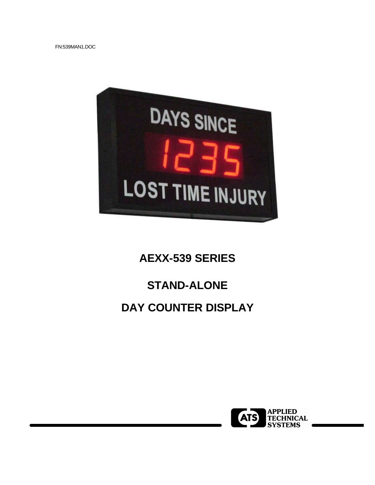FN:539MAN1.DOC



# **AEXX-539 SERIES**

# **STAND-ALONE**

## **DAY COUNTER DISPLAY**

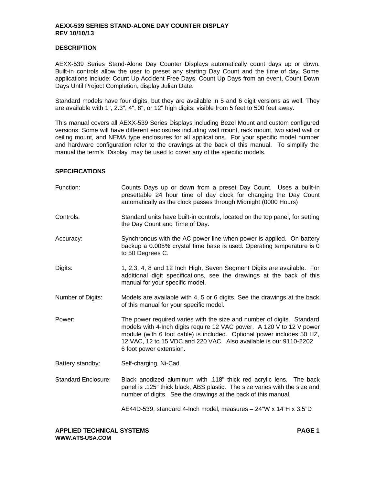#### **DESCRIPTION**

AEXX-539 Series Stand-Alone Day Counter Displays automatically count days up or down. Built-in controls allow the user to preset any starting Day Count and the time of day. Some applications include: Count Up Accident Free Days, Count Up Days from an event, Count Down Days Until Project Completion, display Julian Date.

Standard models have four digits, but they are available in 5 and 6 digit versions as well. They are available with 1", 2.3", 4", 8", or 12" high digits, visible from 5 feet to 500 feet away.

This manual covers all AEXX-539 Series Displays including Bezel Mount and custom configured versions. Some will have different enclosures including wall mount, rack mount, two sided wall or ceiling mount, and NEMA type enclosures for all applications. For your specific model number and hardware configuration refer to the drawings at the back of this manual. To simplify the manual the term's "Display" may be used to cover any of the specific models.

## **SPECIFICATIONS**

| Function:                  | Counts Days up or down from a preset Day Count. Uses a built-in<br>presettable 24 hour time of day clock for changing the Day Count<br>automatically as the clock passes through Midnight (0000 Hours)                                                                                                                    |
|----------------------------|---------------------------------------------------------------------------------------------------------------------------------------------------------------------------------------------------------------------------------------------------------------------------------------------------------------------------|
| Controls:                  | Standard units have built-in controls, located on the top panel, for setting<br>the Day Count and Time of Day.                                                                                                                                                                                                            |
| Accuracy:                  | Synchronous with the AC power line when power is applied. On battery<br>backup a 0.005% crystal time base is used. Operating temperature is 0<br>to 50 Degrees C.                                                                                                                                                         |
| Digits:                    | 1, 2.3, 4, 8 and 12 Inch High, Seven Segment Digits are available. For<br>additional digit specifications, see the drawings at the back of this<br>manual for your specific model.                                                                                                                                        |
| Number of Digits:          | Models are available with 4, 5 or 6 digits. See the drawings at the back<br>of this manual for your specific model.                                                                                                                                                                                                       |
| Power:                     | The power required varies with the size and number of digits. Standard<br>models with 4-lnch digits require 12 VAC power. A 120 V to 12 V power<br>module (with 6 foot cable) is included. Optional power includes 50 HZ,<br>12 VAC, 12 to 15 VDC and 220 VAC. Also available is our 9110-2202<br>6 foot power extension. |
| Battery standby:           | Self-charging, Ni-Cad.                                                                                                                                                                                                                                                                                                    |
| <b>Standard Enclosure:</b> | Black anodized aluminum with .118" thick red acrylic lens. The back<br>panel is .125" thick black, ABS plastic. The size varies with the size and<br>number of digits. See the drawings at the back of this manual.                                                                                                       |
|                            | AE44D-539, standard 4-Inch model, measures - 24"W x 14"H x 3.5"D                                                                                                                                                                                                                                                          |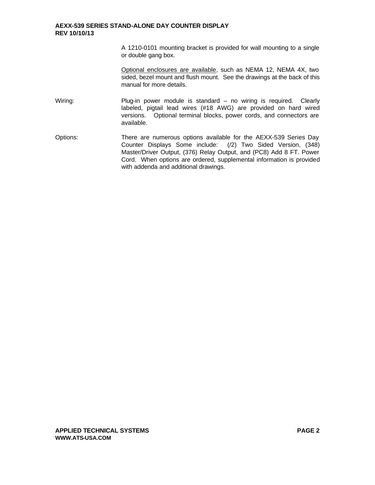A 1210-0101 mounting bracket is provided for wall mounting to a single or double gang box.

Optional enclosures are available, such as NEMA 12, NEMA 4X, two sided, bezel mount and flush mount. See the drawings at the back of this manual for more details.

- Wiring: Plug-in power module is standard no wiring is required. Clearly labeled, pigtail lead wires (#18 AWG) are provided on hard wired versions. Optional terminal blocks, power cords, and connectors are available.
- Options: There are numerous options available for the AEXX-539 Series Day Counter Displays Some include: (/2) Two Sided Version, (348) Master/Driver Output, (376) Relay Output, and (PC8) Add 8 FT. Power Cord. When options are ordered, supplemental information is provided with addenda and additional drawings.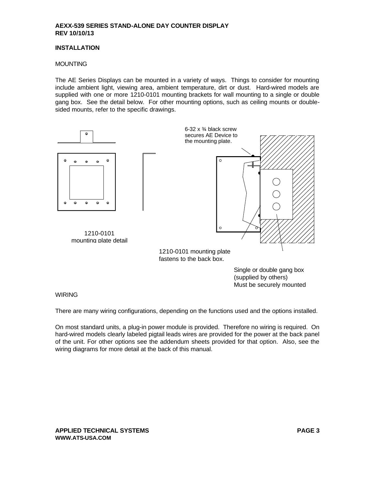### **INSTALLATION**

## **MOUNTING**

The AE Series Displays can be mounted in a variety of ways. Things to consider for mounting include ambient light, viewing area, ambient temperature, dirt or dust. Hard-wired models are supplied with one or more 1210-0101 mounting brackets for wall mounting to a single or double gang box. See the detail below. For other mounting options, such as ceiling mounts or doublesided mounts, refer to the specific drawings.



(supplied by others) Must be securely mounted

## **WIRING**

There are many wiring configurations, depending on the functions used and the options installed.

On most standard units, a plug-in power module is provided. Therefore no wiring is required. On hard-wired models clearly labeled pigtail leads wires are provided for the power at the back panel of the unit. For other options see the addendum sheets provided for that option. Also, see the wiring diagrams for more detail at the back of this manual.

**APPLIED TECHNICAL SYSTEMS PAGE 3 WWW.ATS-USA.COM**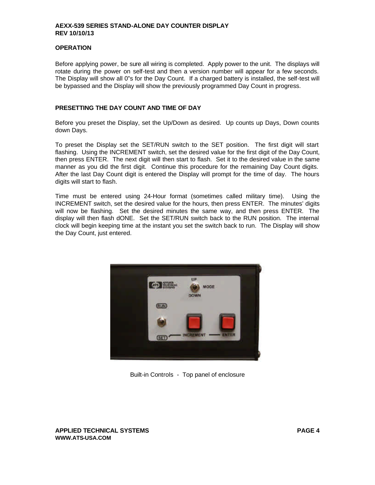## **OPERATION**

Before applying power, be sure all wiring is completed. Apply power to the unit. The displays will rotate during the power on self-test and then a version number will appear for a few seconds. The Display will show all 0"s for the Day Count. If a charged battery is installed, the self-test will be bypassed and the Display will show the previously programmed Day Count in progress.

## **PRESETTING THE DAY COUNT AND TIME OF DAY**

Before you preset the Display, set the Up/Down as desired. Up counts up Days, Down counts down Days.

To preset the Display set the SET/RUN switch to the SET position. The first digit will start flashing. Using the INCREMENT switch, set the desired value for the first digit of the Day Count, then press ENTER. The next digit will then start to flash. Set it to the desired value in the same manner as you did the first digit. Continue this procedure for the remaining Day Count digits. After the last Day Count digit is entered the Display will prompt for the time of day. The hours digits will start to flash.

Time must be entered using 24-Hour format (sometimes called military time). Using the INCREMENT switch, set the desired value for the hours, then press ENTER. The minutes' digits will now be flashing. Set the desired minutes the same way, and then press ENTER. The display will then flash dONE. Set the SET/RUN switch back to the RUN position. The internal clock will begin keeping time at the instant you set the switch back to run. The Display will show the Day Count, just entered.



Built-in Controls - Top panel of enclosure